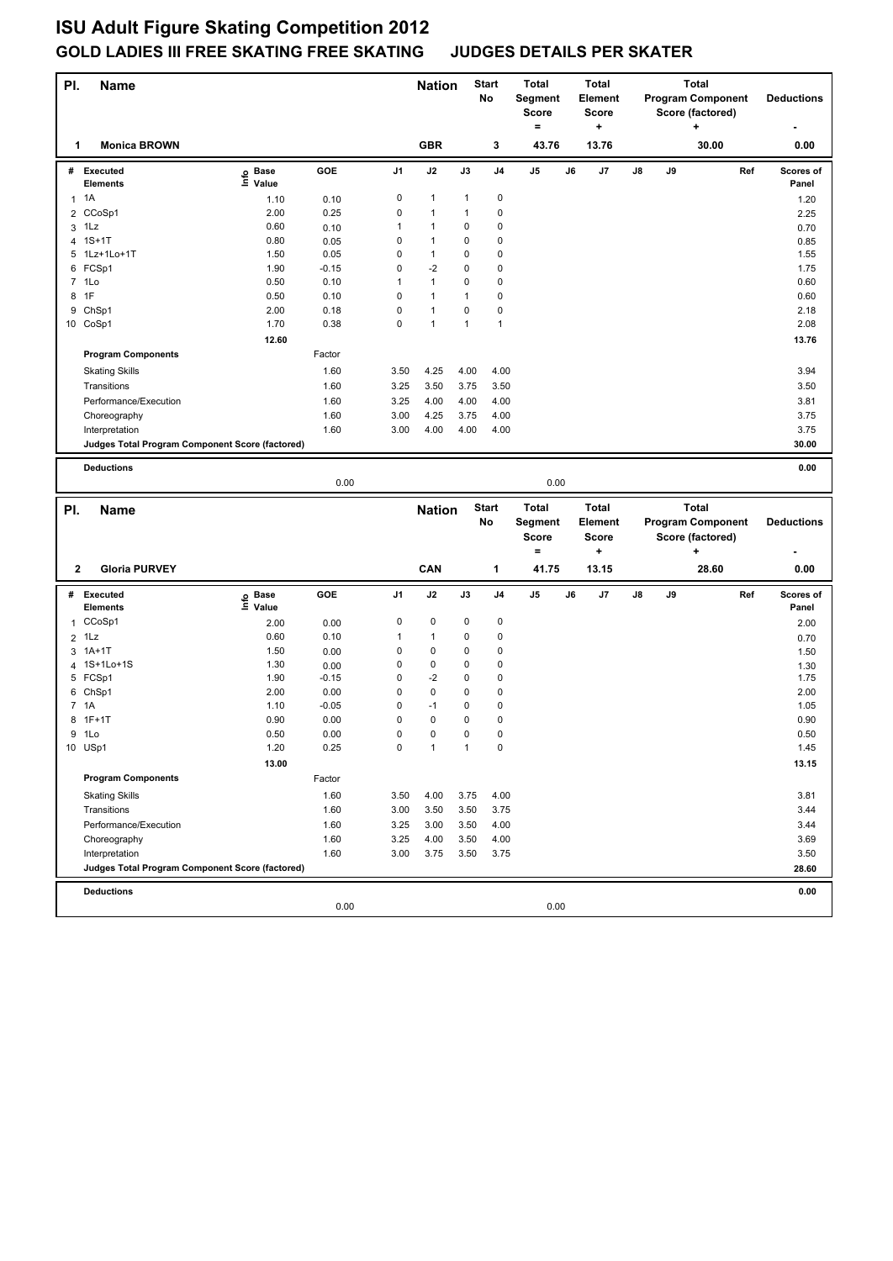## **ISU Adult Figure Skating Competition 2012 GOLD LADIES III FREE SKATING FREE SKATING JUDGES DETAILS PER SKATER**

| PI. | <b>Name</b>                                     |                   |         |                | <b>Nation</b> |      | <b>Start</b><br>No | <b>Total</b><br>Segment<br><b>Score</b><br>$=$ |    | <b>Total</b><br>Element<br><b>Score</b><br>۰. | <b>Total</b><br><b>Program Component</b><br>Score (factored)<br>٠ |    |                  | <b>Deductions</b>        |                   |
|-----|-------------------------------------------------|-------------------|---------|----------------|---------------|------|--------------------|------------------------------------------------|----|-----------------------------------------------|-------------------------------------------------------------------|----|------------------|--------------------------|-------------------|
| 1   | <b>Monica BROWN</b>                             |                   |         |                | <b>GBR</b>    |      | 3                  | 43.76                                          |    | 13.76                                         | 30.00                                                             |    | 0.00             |                          |                   |
|     | # Executed                                      | e Base<br>⊆ Value | GOE     | J <sub>1</sub> | J2            | J3   | J <sub>4</sub>     | J5                                             | J6 | J7                                            | J8                                                                | J9 |                  | Ref                      | Scores of         |
|     | <b>Elements</b>                                 |                   |         |                |               |      |                    |                                                |    |                                               |                                                                   |    |                  |                          | Panel             |
|     | $1 \t1A$                                        | 1.10              | 0.10    | 0              | 1             | 1    | $\pmb{0}$          |                                                |    |                                               |                                                                   |    |                  |                          | 1.20              |
| 2   | CCoSp1                                          | 2.00              | 0.25    | 0              | 1             | 1    | 0                  |                                                |    |                                               |                                                                   |    |                  |                          | 2.25              |
|     | $3$ 1Lz                                         | 0.60              | 0.10    | 1              | 1             | 0    | 0                  |                                                |    |                                               |                                                                   |    |                  |                          | 0.70              |
| 4   | $1S+1T$                                         | 0.80              | 0.05    | 0              | $\mathbf{1}$  | 0    | 0                  |                                                |    |                                               |                                                                   |    |                  |                          | 0.85              |
|     | 5 1Lz+1Lo+1T                                    | 1.50              | 0.05    | 0              | $\mathbf{1}$  | 0    | 0                  |                                                |    |                                               |                                                                   |    |                  |                          | 1.55              |
|     | 6 FCSp1                                         | 1.90              | $-0.15$ | 0              | $-2$          | 0    | $\mathbf 0$        |                                                |    |                                               |                                                                   |    |                  |                          | 1.75              |
|     | 7 1Lo                                           | 0.50              | 0.10    | 1              | $\mathbf{1}$  | 0    | $\mathbf 0$        |                                                |    |                                               |                                                                   |    |                  |                          | 0.60              |
| 8   | 1F                                              | 0.50              | 0.10    | 0              | $\mathbf{1}$  | 1    | $\mathbf 0$        |                                                |    |                                               |                                                                   |    |                  |                          | 0.60              |
| 9   | ChSp1                                           | 2.00              | 0.18    | 0              | $\mathbf{1}$  | 0    | $\pmb{0}$          |                                                |    |                                               |                                                                   |    |                  |                          | 2.18              |
|     | 10 CoSp1                                        | 1.70              | 0.38    | 0              | $\mathbf{1}$  | 1    | $\mathbf{1}$       |                                                |    |                                               |                                                                   |    |                  |                          | 2.08              |
|     |                                                 | 12.60             |         |                |               |      |                    |                                                |    |                                               |                                                                   |    |                  |                          | 13.76             |
|     | <b>Program Components</b>                       |                   | Factor  |                |               |      |                    |                                                |    |                                               |                                                                   |    |                  |                          |                   |
|     | <b>Skating Skills</b>                           |                   | 1.60    | 3.50           | 4.25          | 4.00 | 4.00               |                                                |    |                                               |                                                                   |    |                  |                          | 3.94              |
|     | Transitions                                     |                   | 1.60    | 3.25           | 3.50          | 3.75 | 3.50               |                                                |    |                                               |                                                                   |    |                  |                          | 3.50              |
|     | Performance/Execution                           |                   | 1.60    | 3.25           | 4.00          | 4.00 | 4.00               |                                                |    |                                               |                                                                   |    |                  |                          | 3.81              |
|     | Choreography                                    |                   | 1.60    | 3.00           | 4.25          | 3.75 | 4.00               |                                                |    |                                               |                                                                   |    |                  |                          | 3.75              |
|     | Interpretation                                  |                   | 1.60    | 3.00           | 4.00          | 4.00 | 4.00               |                                                |    |                                               |                                                                   |    |                  |                          | 3.75              |
|     | Judges Total Program Component Score (factored) |                   |         |                |               |      |                    |                                                |    |                                               |                                                                   |    |                  |                          | 30.00             |
|     | <b>Deductions</b>                               |                   |         |                |               |      |                    |                                                |    |                                               |                                                                   |    |                  |                          | 0.00              |
|     |                                                 |                   | 0.00    |                |               |      |                    | 0.00                                           |    |                                               |                                                                   |    |                  |                          |                   |
|     |                                                 |                   |         |                |               |      |                    |                                                |    |                                               |                                                                   |    |                  |                          |                   |
|     |                                                 |                   |         |                |               |      |                    |                                                |    |                                               |                                                                   |    |                  |                          |                   |
| PI. | <b>Name</b>                                     |                   |         |                | <b>Nation</b> |      | <b>Start</b>       | <b>Total</b>                                   |    | <b>Total</b>                                  |                                                                   |    | <b>Total</b>     |                          |                   |
|     |                                                 |                   |         |                |               |      | No                 | Segment                                        |    | Element                                       |                                                                   |    |                  | <b>Program Component</b> | <b>Deductions</b> |
|     |                                                 |                   |         |                |               |      |                    | <b>Score</b>                                   |    | <b>Score</b>                                  |                                                                   |    | Score (factored) |                          |                   |
|     |                                                 |                   |         |                |               |      |                    | $=$                                            |    | $\ddot{}$                                     |                                                                   |    | +                |                          |                   |
| 2   | <b>Gloria PURVEY</b>                            |                   |         |                | CAN           |      | 1                  | 41.75                                          |    | 13.15                                         |                                                                   |    | 28.60            |                          | 0.00              |
|     | # Executed                                      | <b>Base</b>       | GOE     | J <sub>1</sub> | J2            | J3   | J <sub>4</sub>     | J5                                             | J6 | J7                                            | J8                                                                | J9 |                  | Ref                      | Scores of         |
|     | Elements                                        | ١m<br>Value       |         |                |               |      |                    |                                                |    |                                               |                                                                   |    |                  |                          | Panel             |
|     | 1 CCoSp1                                        | 2.00              | 0.00    | 0              | 0             | 0    | 0                  |                                                |    |                                               |                                                                   |    |                  |                          | 2.00              |
|     | $2$ 1 Lz                                        | 0.60              | 0.10    | 1              | $\mathbf{1}$  | 0    | $\mathbf 0$        |                                                |    |                                               |                                                                   |    |                  |                          | 0.70              |
| 3   | $1A+1T$                                         | 1.50              | 0.00    | 0              | 0             | 0    | 0                  |                                                |    |                                               |                                                                   |    |                  |                          | 1.50              |
| 4   | 1S+1Lo+1S                                       | 1.30              | 0.00    | 0              | 0             | 0    | $\mathbf 0$        |                                                |    |                                               |                                                                   |    |                  |                          | 1.30              |
|     | 5 FCSp1                                         | 1.90              | $-0.15$ | 0              | $-2$          | 0    | 0                  |                                                |    |                                               |                                                                   |    |                  |                          | 1.75              |
|     | 6 ChSp1                                         | 2.00              | 0.00    | 0              | 0             | 0    | 0                  |                                                |    |                                               |                                                                   |    |                  |                          | 2.00              |
|     | 7 1A                                            | 1.10              | $-0.05$ | 0              | $-1$          | 0    | 0                  |                                                |    |                                               |                                                                   |    |                  |                          | 1.05              |
| 8   | $1F+1T$                                         | 0.90              | 0.00    | 0              | 0             | 0    | 0                  |                                                |    |                                               |                                                                   |    |                  |                          | 0.90              |
|     | 9 1Lo                                           | 0.50              | 0.00    | 0              | 0             | 0    | 0                  |                                                |    |                                               |                                                                   |    |                  |                          | 0.50              |
|     | 10 USp1                                         | 1.20              | 0.25    | 0              | $\mathbf{1}$  | 1    | 0                  |                                                |    |                                               |                                                                   |    |                  |                          | 1.45              |
|     |                                                 | 13.00             |         |                |               |      |                    |                                                |    |                                               |                                                                   |    |                  |                          | 13.15             |
|     | <b>Program Components</b>                       |                   | Factor  |                |               |      |                    |                                                |    |                                               |                                                                   |    |                  |                          |                   |
|     | <b>Skating Skills</b>                           |                   | 1.60    | 3.50           | 4.00          | 3.75 | 4.00               |                                                |    |                                               |                                                                   |    |                  |                          | 3.81              |
|     | Transitions                                     |                   | 1.60    | 3.00           | 3.50          | 3.50 | 3.75               |                                                |    |                                               |                                                                   |    |                  |                          | 3.44              |
|     | Performance/Execution                           |                   | 1.60    | 3.25           | 3.00          | 3.50 | 4.00               |                                                |    |                                               |                                                                   |    |                  |                          | 3.44              |
|     | Choreography                                    |                   | 1.60    | 3.25           | 4.00          | 3.50 | 4.00               |                                                |    |                                               |                                                                   |    |                  |                          | 3.69              |
|     | Interpretation                                  |                   | 1.60    | 3.00           | 3.75          | 3.50 | 3.75               |                                                |    |                                               |                                                                   |    |                  |                          | 3.50              |
|     | Judges Total Program Component Score (factored) |                   |         |                |               |      |                    |                                                |    |                                               |                                                                   |    |                  |                          | 28.60             |
|     |                                                 |                   |         |                |               |      |                    |                                                |    |                                               |                                                                   |    |                  |                          |                   |
|     | <b>Deductions</b>                               |                   | 0.00    |                |               |      |                    | 0.00                                           |    |                                               |                                                                   |    |                  |                          | 0.00              |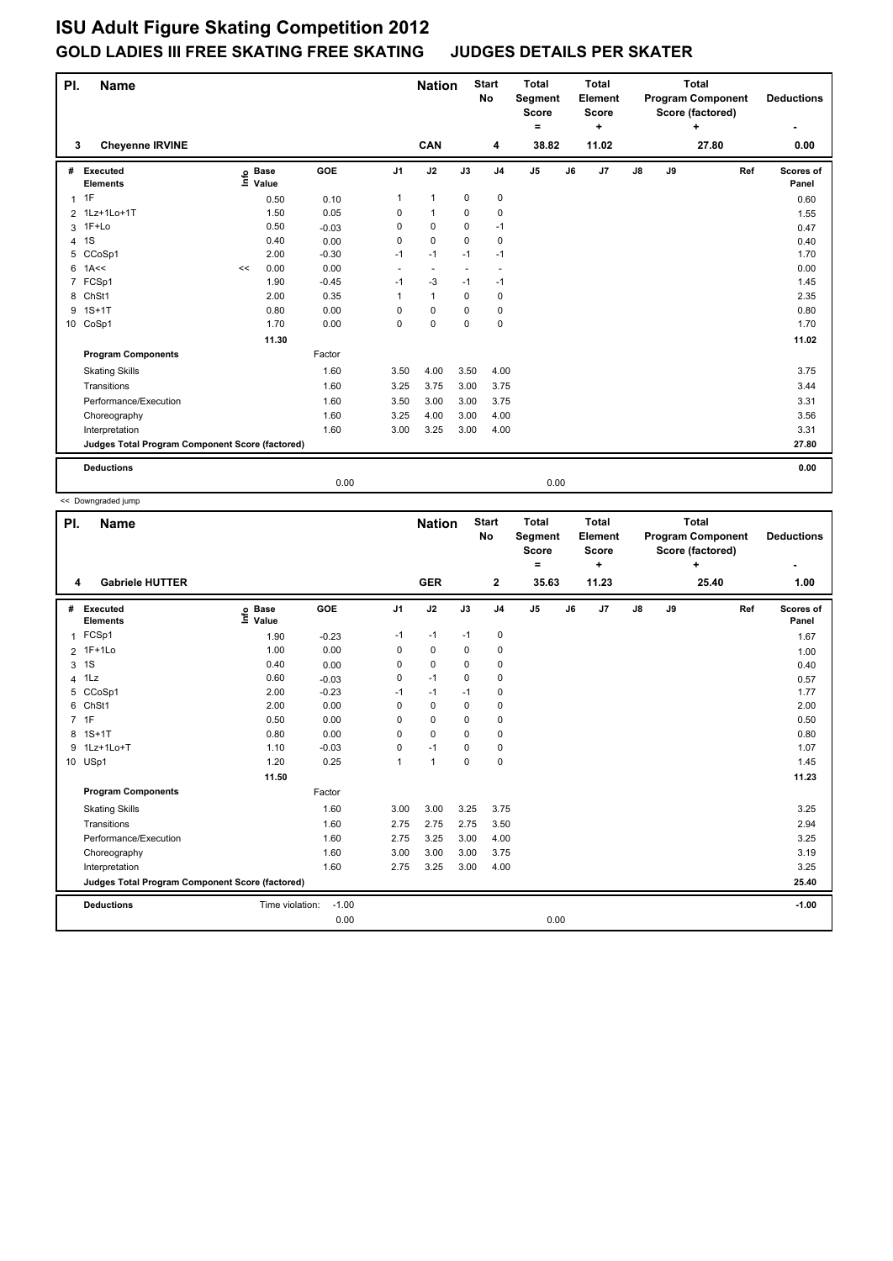## **ISU Adult Figure Skating Competition 2012 GOLD LADIES III FREE SKATING FREE SKATING JUDGES DETAILS PER SKATER**

| PI.            | Name                                            |    |                   |         |                | <b>Start</b><br><b>Nation</b><br><b>No</b> |             | <b>Total</b><br>Segment<br><b>Score</b><br>= |       | <b>Total</b><br>Element<br><b>Score</b><br>÷ | <b>Total</b><br><b>Program Component</b><br>Score (factored)<br>÷ |               |    |       | <b>Deductions</b> |                    |
|----------------|-------------------------------------------------|----|-------------------|---------|----------------|--------------------------------------------|-------------|----------------------------------------------|-------|----------------------------------------------|-------------------------------------------------------------------|---------------|----|-------|-------------------|--------------------|
| 3              | <b>Chevenne IRVINE</b>                          |    |                   |         |                | <b>CAN</b>                                 |             | 4                                            | 38.82 |                                              | 11.02                                                             |               |    | 27.80 |                   | 0.00               |
| #              | Executed<br><b>Elements</b>                     |    | e Base<br>⊑ Value | GOE     | J <sub>1</sub> | J2                                         | J3          | J <sub>4</sub>                               | J5    | J6                                           | J7                                                                | $\mathsf{J}8$ | J9 |       | Ref               | Scores of<br>Panel |
| $\mathbf{1}$   | 1F                                              |    | 0.50              | 0.10    | 1              | $\mathbf{1}$                               | $\mathbf 0$ | $\pmb{0}$                                    |       |                                              |                                                                   |               |    |       |                   | 0.60               |
|                | 2 1Lz+1Lo+1T                                    |    | 1.50              | 0.05    | 0              | $\mathbf{1}$                               | $\Omega$    | 0                                            |       |                                              |                                                                   |               |    |       |                   | 1.55               |
| 3              | 1F+Lo                                           |    | 0.50              | $-0.03$ | 0              | $\Omega$                                   | $\Omega$    | $-1$                                         |       |                                              |                                                                   |               |    |       |                   | 0.47               |
| 4              | 1S                                              |    | 0.40              | 0.00    | 0              | $\Omega$                                   | $\Omega$    | $\mathbf 0$                                  |       |                                              |                                                                   |               |    |       |                   | 0.40               |
| 5              | CCoSp1                                          |    | 2.00              | $-0.30$ | $-1$           | $-1$                                       | $-1$        | $-1$                                         |       |                                              |                                                                   |               |    |       |                   | 1.70               |
| 6              | 1A<<                                            | << | 0.00              | 0.00    | ÷.             | $\overline{a}$                             |             | ٠.                                           |       |                                              |                                                                   |               |    |       |                   | 0.00               |
| $\overline{7}$ | FCSp1                                           |    | 1.90              | $-0.45$ | $-1$           | $-3$                                       | $-1$        | $-1$                                         |       |                                              |                                                                   |               |    |       |                   | 1.45               |
| 8              | ChSt1                                           |    | 2.00              | 0.35    | 1              | $\mathbf{1}$                               | $\mathbf 0$ | $\mathbf 0$                                  |       |                                              |                                                                   |               |    |       |                   | 2.35               |
| 9              | $1S+1T$                                         |    | 0.80              | 0.00    | 0              | $\mathbf 0$                                | $\Omega$    | $\pmb{0}$                                    |       |                                              |                                                                   |               |    |       |                   | 0.80               |
|                | 10 CoSp1                                        |    | 1.70              | 0.00    | 0              | $\mathbf 0$                                | $\Omega$    | $\mathbf 0$                                  |       |                                              |                                                                   |               |    |       |                   | 1.70               |
|                |                                                 |    | 11.30             |         |                |                                            |             |                                              |       |                                              |                                                                   |               |    |       |                   | 11.02              |
|                | <b>Program Components</b>                       |    |                   | Factor  |                |                                            |             |                                              |       |                                              |                                                                   |               |    |       |                   |                    |
|                | <b>Skating Skills</b>                           |    |                   | 1.60    | 3.50           | 4.00                                       | 3.50        | 4.00                                         |       |                                              |                                                                   |               |    |       |                   | 3.75               |
|                | Transitions                                     |    |                   | 1.60    | 3.25           | 3.75                                       | 3.00        | 3.75                                         |       |                                              |                                                                   |               |    |       |                   | 3.44               |
|                | Performance/Execution                           |    |                   | 1.60    | 3.50           | 3.00                                       | 3.00        | 3.75                                         |       |                                              |                                                                   |               |    |       |                   | 3.31               |
|                | Choreography                                    |    |                   | 1.60    | 3.25           | 4.00                                       | 3.00        | 4.00                                         |       |                                              |                                                                   |               |    |       |                   | 3.56               |
|                | Interpretation                                  |    |                   | 1.60    | 3.00           | 3.25                                       | 3.00        | 4.00                                         |       |                                              |                                                                   |               |    |       |                   | 3.31               |
|                | Judges Total Program Component Score (factored) |    |                   |         |                |                                            |             |                                              |       |                                              |                                                                   |               |    |       |                   | 27.80              |
|                | <b>Deductions</b>                               |    |                   |         |                |                                            |             |                                              |       |                                              |                                                                   |               |    |       |                   | 0.00               |
|                |                                                 |    |                   | 0.00    |                |                                            |             |                                              | 0.00  |                                              |                                                                   |               |    |       |                   |                    |

<< Downgraded jump

| PI. | <b>Name</b>                                     |                              |         |                | <b>Nation</b> |             | <b>Start</b><br>No | <b>Total</b><br>Segment<br><b>Score</b><br>٠ |    | Total<br>Element<br><b>Score</b><br>٠ | <b>Total</b><br><b>Program Component</b><br>Score (factored)<br>$\ddot{}$ |    |       |     | <b>Deductions</b>  |
|-----|-------------------------------------------------|------------------------------|---------|----------------|---------------|-------------|--------------------|----------------------------------------------|----|---------------------------------------|---------------------------------------------------------------------------|----|-------|-----|--------------------|
| 4   | <b>Gabriele HUTTER</b>                          |                              |         |                | <b>GER</b>    |             | 2                  | 35.63                                        |    | 11.23                                 |                                                                           |    | 25.40 |     | 1.00               |
| #   | Executed<br><b>Elements</b>                     | <b>Base</b><br>١nf٥<br>Value | GOE     | J <sub>1</sub> | J2            | J3          | J <sub>4</sub>     | J <sub>5</sub>                               | J6 | J7                                    | J8                                                                        | J9 |       | Ref | Scores of<br>Panel |
| 1   | FCSp1                                           | 1.90                         | $-0.23$ | $-1$           | $-1$          | $-1$        | 0                  |                                              |    |                                       |                                                                           |    |       |     | 1.67               |
|     | 2 1F+1Lo                                        | 1.00                         | 0.00    | 0              | $\mathbf 0$   | 0           | 0                  |                                              |    |                                       |                                                                           |    |       |     | 1.00               |
| 3   | 1S                                              | 0.40                         | 0.00    | 0              | $\mathbf 0$   | 0           | $\mathbf 0$        |                                              |    |                                       |                                                                           |    |       |     | 0.40               |
| 4   | 1Lz                                             | 0.60                         | $-0.03$ | 0              | $-1$          | $\Omega$    | 0                  |                                              |    |                                       |                                                                           |    |       |     | 0.57               |
| 5   | CCoSp1                                          | 2.00                         | $-0.23$ | $-1$           | $-1$          | $-1$        | 0                  |                                              |    |                                       |                                                                           |    |       |     | 1.77               |
| 6   | ChSt1                                           | 2.00                         | 0.00    | 0              | $\mathbf 0$   | $\mathbf 0$ | $\mathbf 0$        |                                              |    |                                       |                                                                           |    |       |     | 2.00               |
|     | 7 1F                                            | 0.50                         | 0.00    | 0              | $\mathbf 0$   | $\mathbf 0$ | 0                  |                                              |    |                                       |                                                                           |    |       |     | 0.50               |
|     | 8 1S+1T                                         | 0.80                         | 0.00    | $\Omega$       | $\Omega$      | $\Omega$    | 0                  |                                              |    |                                       |                                                                           |    |       |     | 0.80               |
| 9   | 1Lz+1Lo+T                                       | 1.10                         | $-0.03$ | 0              | $-1$          | 0           | 0                  |                                              |    |                                       |                                                                           |    |       |     | 1.07               |
|     | 10 USp1                                         | 1.20                         | 0.25    | 1              | $\mathbf{1}$  | $\mathbf 0$ | 0                  |                                              |    |                                       |                                                                           |    |       |     | 1.45               |
|     |                                                 | 11.50                        |         |                |               |             |                    |                                              |    |                                       |                                                                           |    |       |     | 11.23              |
|     | <b>Program Components</b>                       |                              | Factor  |                |               |             |                    |                                              |    |                                       |                                                                           |    |       |     |                    |
|     | <b>Skating Skills</b>                           |                              | 1.60    | 3.00           | 3.00          | 3.25        | 3.75               |                                              |    |                                       |                                                                           |    |       |     | 3.25               |
|     | Transitions                                     |                              | 1.60    | 2.75           | 2.75          | 2.75        | 3.50               |                                              |    |                                       |                                                                           |    |       |     | 2.94               |
|     | Performance/Execution                           |                              | 1.60    | 2.75           | 3.25          | 3.00        | 4.00               |                                              |    |                                       |                                                                           |    |       |     | 3.25               |
|     | Choreography                                    |                              | 1.60    | 3.00           | 3.00          | 3.00        | 3.75               |                                              |    |                                       |                                                                           |    |       |     | 3.19               |
|     | Interpretation                                  |                              | 1.60    | 2.75           | 3.25          | 3.00        | 4.00               |                                              |    |                                       |                                                                           |    |       |     | 3.25               |
|     | Judges Total Program Component Score (factored) |                              |         |                |               |             |                    |                                              |    |                                       |                                                                           |    | 25.40 |     |                    |
|     | <b>Deductions</b>                               | Time violation:              | $-1.00$ |                |               |             |                    |                                              |    |                                       |                                                                           |    |       |     | $-1.00$            |
|     |                                                 |                              | 0.00    |                |               |             |                    | 0.00                                         |    |                                       |                                                                           |    |       |     |                    |